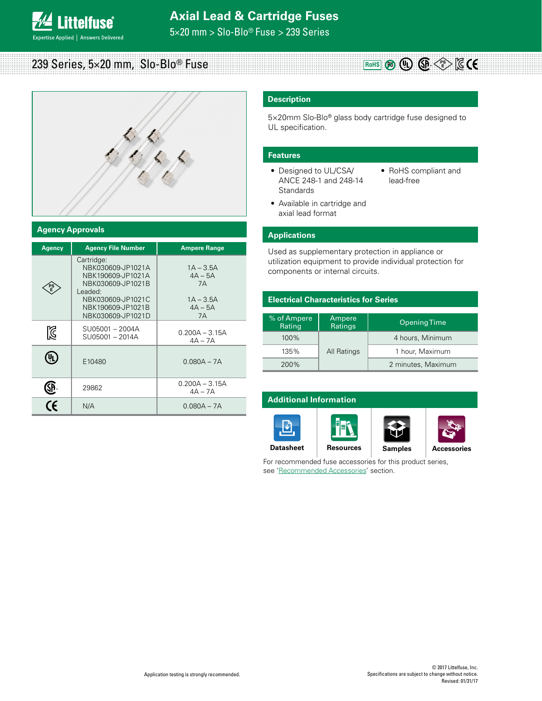5×20 mm > Slo-Blo® Fuse > 239 Series

239 Series, 5×20 mm, Slo-Blo® Fuse



## **Agency Approvals**

| <b>Agency</b> | <b>Agency File Number</b>                                                                                                                           | <b>Ampere Range</b>                                              |
|---------------|-----------------------------------------------------------------------------------------------------------------------------------------------------|------------------------------------------------------------------|
|               | Cartridge:<br>NBK030609-JP1021A<br>NBK190609-JP1021A<br>NBK030609-JP1021B<br>Leaded:<br>NBK030609-JP1021C<br>NBK190609-JP1021B<br>NBK030609-JP1021D | $1A - 3.5A$<br>$4A - 5A$<br>7A<br>$1A - 3.5A$<br>$4A - 5A$<br>7A |
| K             | SU05001 - 2004A<br>SU05001 - 2014A                                                                                                                  | $0.200A - 3.15A$<br>$4A - 7A$                                    |
|               | E10480                                                                                                                                              | $0.080A - 7A$                                                    |
|               | 29862                                                                                                                                               | $0.200A - 3.15A$<br>$4A - 7A$                                    |
| <b>CE</b>     | N/A                                                                                                                                                 | $0.080A - 7A$                                                    |

# **Description**

5×20mm Slo-Blo® glass body cartridge fuse designed to UL specification.

# **Features**

- Designed to UL/CSA/ ANCE 248-1 and 248-14 **Standards**
- RoHS compliant and lead-free

**RoHS** (Pb) (PL) (SP < E

• Available in cartridge and axial lead format

## **Applications**

Used as supplementary protection in appliance or utilization equipment to provide individual protection for components or internal circuits.

# **Electrical Characteristics for Series**

| % of Ampere<br>Rating | Ampere<br>Ratings | <b>Opening Time</b> |
|-----------------------|-------------------|---------------------|
| 100%                  |                   | 4 hours, Minimum    |
| 135%                  | All Ratings       | 1 hour, Maximum     |
| 200 <sup>%</sup>      |                   | 2 minutes, Maximum  |

# **Additional Information**







Revised: 01/31/17

For recommended fuse accessories for this product series, see 'Recommended Accessories' section.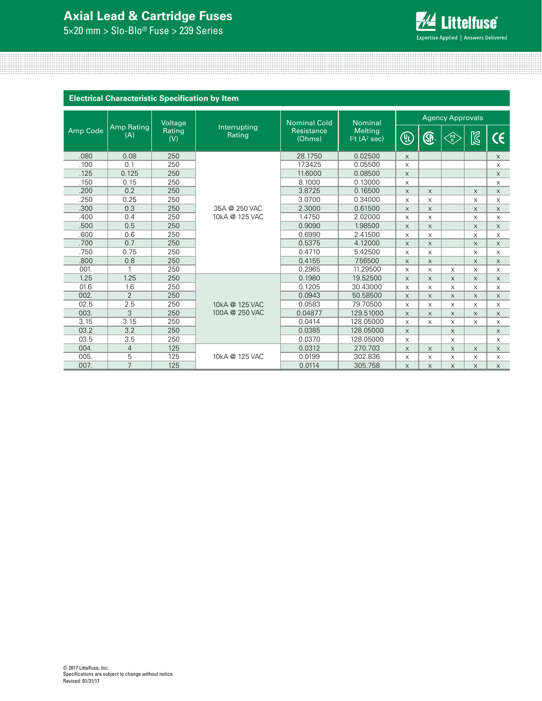# **Axial Lead & Cartridge Fuses**

5×20 mm > Slo-Blo® Fuse > 239 Series



|          | <b>Electrical Characteristic Specification by Item</b> |               |                        |                      |                                           |                                                          |          |              |              |              |
|----------|--------------------------------------------------------|---------------|------------------------|----------------------|-------------------------------------------|----------------------------------------------------------|----------|--------------|--------------|--------------|
|          |                                                        | Voltage       |                        | <b>Nominal Cold</b>  | <b>Nominal</b>                            | <b>Agency Approvals</b>                                  |          |              |              |              |
| Amp Code | <b>Amp Rating</b><br>(A)                               | Rating<br>(V) | Interrupting<br>Rating | Resistance<br>(Ohms) | <b>Melting</b><br>12t(A <sup>2</sup> sec) | $\left(\begin{smallmatrix} 0\ 0\end{smallmatrix}\right)$ | ®        | FS<br>E      | $\boxtimes$  | $\epsilon$   |
| .080     | 0.08                                                   | 250           |                        | 28.1750              | 0.02500                                   | $\times$                                                 |          |              |              | $\times$     |
| .100     | 0.1                                                    | 250           |                        | 17.3425              | 0.05500                                   | $\mathsf X$                                              |          |              |              | X            |
| .125     | 0.125                                                  | 250           |                        | 11.6000              | 0.08500                                   | $\times$                                                 |          |              |              | $\times$     |
| .150     | 0.15                                                   | 250           |                        | 8.1000               | 0.13000                                   | $\times$                                                 |          |              |              | $\times$     |
| .200     | 0.2                                                    | 250           |                        | 3.8725               | 0.16500                                   | $\times$                                                 | $\times$ |              | X            | X            |
| .250     | 0.25                                                   | 250           |                        | 3.0700               | 0.34000                                   | $\times$                                                 | $\times$ |              | $\times$     | $\times$     |
| .300     | 0.3                                                    | 250           | 35A @ 250 VAC          | 2.3000               | 0.61500                                   | $\times$                                                 | $\times$ |              | X            | $\times$     |
| .400     | 0.4                                                    | 250           | 10kA @ 125 VAC         | 1.4750               | 2.02000                                   | $\times$                                                 | $\times$ |              | X            | X            |
| .500     | 0.5                                                    | 250           |                        | 0.9090               | 1.98500                                   | $\times$                                                 | $\times$ |              | $\times$     | $\mathsf{X}$ |
| .600     | 0.6                                                    | 250           |                        | 0.6990               | 2.41500                                   | $\times$                                                 | $\times$ |              | X            | $\times$     |
| .700     | 0.7                                                    | 250           |                        | 0.5375               | 4.12000                                   | $\times$                                                 | $\times$ |              | X            | $\times$     |
| .750     | 0.75                                                   | 250           |                        | 0.4710               | 5.42500                                   | $\times$                                                 | $\times$ |              | X            | X            |
| .800     | 0.8                                                    | 250           |                        | 0.4155               | 7.56500                                   | $\times$                                                 | $\times$ |              | $\times$     | $\times$     |
| 001.     | 1                                                      | 250           |                        | 0.2965               | 11.29500                                  | $\times$                                                 | $\times$ | $\times$     | X            | $\times$     |
| 1.25     | 1.25                                                   | 250           |                        | 0.1980               | 19.52500                                  | $\times$                                                 | $\times$ | $\times$     | $\mathsf{x}$ | $\times$     |
| 01.6     | 1.6                                                    | 250           |                        | 0.1205               | 30.43000                                  | $\times$                                                 | $\times$ | $\times$     | X            | X            |
| 002.     | $\overline{2}$                                         | 250           |                        | 0.0943               | 50.58500                                  | $\times$                                                 | $\times$ | $\times$     | $\times$     | $\times$     |
| 02.5     | 2.5                                                    | 250           | 10kA @ 125 VAC         | 0.0583               | 79.70500                                  | $\times$                                                 | $\times$ | $\mathsf{x}$ | $\times$     | X            |
| 003.     | 3                                                      | 250           | 100A @ 250 VAC         | 0.04877              | 129.51000                                 | $\times$                                                 | $\times$ | $\times$     | X            | X            |
| 3.15     | 3.15                                                   | 250           |                        | 0.0414               | 128.05000                                 | $\times$                                                 | $\times$ | $\times$     | X            | X            |
| 03.2     | 3.2                                                    | 250           |                        | 0.0385               | 128.05000                                 | $\mathsf X$                                              |          | $\times$     |              | X            |
| 03.5     | 3.5                                                    | 250           |                        | 0.0370               | 128.05000                                 | $\times$                                                 |          | $\times$     |              | $\times$     |
| 004.     | $\overline{4}$                                         | 125           |                        | 0.0312               | 270.703                                   | $\times$                                                 | $\times$ | $\times$     | X            | X            |
| 005.     | 5                                                      | 125           | 10kA @ 125 VAC         | 0.0199               | 302.836                                   | $\times$                                                 | $\times$ | X            | X            | X            |
| 007.     | $\overline{7}$                                         | 125           |                        | 0.0114               | 305.758                                   | X                                                        | $\times$ | $\times$     | $\times$     | $\times$     |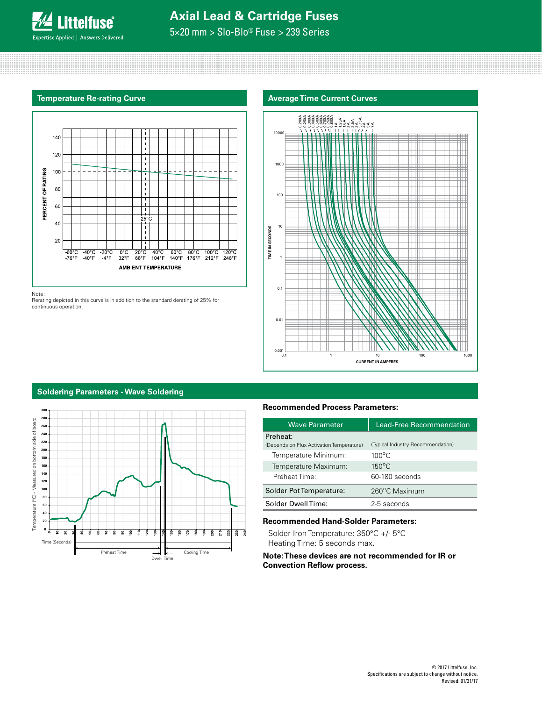

# **Axial Lead & Cartridge Fuses**

5×20 mm > Slo-Blo® Fuse > 239 Series



Note:

Rerating depicted in this curve is in addition to the standard derating of 25% for continuous operation.





#### **Soldering Parameters - Wave Soldering**



# **Recommended Process Parameters:**

| Wave Parameter                           | Lead-Free Recommendation          |  |  |  |
|------------------------------------------|-----------------------------------|--|--|--|
| Preheat:                                 |                                   |  |  |  |
| (Depends on Flux Activation Temperature) | (Typical Industry Recommendation) |  |  |  |
| Temperature Minimum:                     | $100^{\circ}$ C                   |  |  |  |
| Temperature Maximum:                     | $150^{\circ}$ C                   |  |  |  |
| Preheat Time:                            | 60-180 seconds                    |  |  |  |
| Solder Pot Temperature:                  | 260°C Maximum                     |  |  |  |
| Solder DwellTime:                        | 2-5 seconds                       |  |  |  |

#### **Recommended Hand-Solder Parameters:**

Solder Iron Temperature: 350°C +/- 5°C Heating Time: 5 seconds max.

## **Note: These devices are not recommended for IR or Convection Reflow process.**